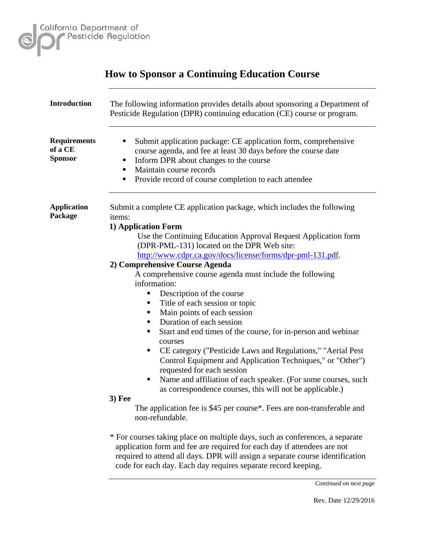

|                                                  | <b>How to Sponsor a Continuing Education Course</b>                                                                                                                                                                                                                                                                                                                                                                                                                                                                                                                                                                                                                                                                                                                                                                                                                                                                                                                                                                                                                                                                                                                                                                                                                                         |
|--------------------------------------------------|---------------------------------------------------------------------------------------------------------------------------------------------------------------------------------------------------------------------------------------------------------------------------------------------------------------------------------------------------------------------------------------------------------------------------------------------------------------------------------------------------------------------------------------------------------------------------------------------------------------------------------------------------------------------------------------------------------------------------------------------------------------------------------------------------------------------------------------------------------------------------------------------------------------------------------------------------------------------------------------------------------------------------------------------------------------------------------------------------------------------------------------------------------------------------------------------------------------------------------------------------------------------------------------------|
| <b>Introduction</b>                              | The following information provides details about sponsoring a Department of<br>Pesticide Regulation (DPR) continuing education (CE) course or program.                                                                                                                                                                                                                                                                                                                                                                                                                                                                                                                                                                                                                                                                                                                                                                                                                                                                                                                                                                                                                                                                                                                                      |
| <b>Requirements</b><br>of a CE<br><b>Sponsor</b> | Submit application package: CE application form, comprehensive<br>п<br>course agenda, and fee at least 30 days before the course date<br>Inform DPR about changes to the course<br>п<br>Maintain course records<br>٠<br>Provide record of course completion to each attendee<br>٠                                                                                                                                                                                                                                                                                                                                                                                                                                                                                                                                                                                                                                                                                                                                                                                                                                                                                                                                                                                                           |
| <b>Application</b><br>Package                    | Submit a complete CE application package, which includes the following<br><i>items:</i><br>1) Application Form<br>Use the Continuing Education Approval Request Application form<br>(DPR-PML-131) located on the DPR Web site:<br>http://www.cdpr.ca.gov/docs/license/forms/dpr-pml-131.pdf.<br>2) Comprehensive Course Agenda<br>A comprehensive course agenda must include the following<br>information:<br>Description of the course<br>п<br>Title of each session or topic<br>ш<br>Main points of each session<br>٠<br>Duration of each session<br>п<br>Start and end times of the course, for in-person and webinar<br>ш<br>courses<br>CE category ("Pesticide Laws and Regulations," "Aerial Pest"<br>ш<br>Control Equipment and Application Techniques," or "Other")<br>requested for each session<br>Name and affiliation of each speaker. (For some courses, such<br>as correspondence courses, this will not be applicable.)<br>$3)$ Fee<br>The application fee is \$45 per course*. Fees are non-transferable and<br>non-refundable.<br>* For courses taking place on multiple days, such as conferences, a separate<br>application form and fee are required for each day if attendees are not<br>required to attend all days. DPR will assign a separate course identification |
|                                                  | code for each day. Each day requires separate record keeping.                                                                                                                                                                                                                                                                                                                                                                                                                                                                                                                                                                                                                                                                                                                                                                                                                                                                                                                                                                                                                                                                                                                                                                                                                               |

*Continued on next page*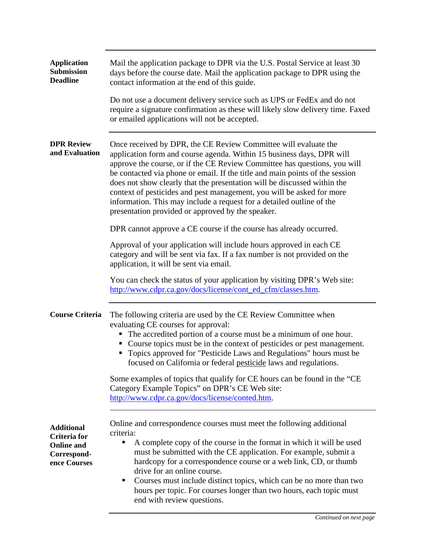| <b>Application</b><br><b>Submission</b><br><b>Deadline</b>                            | Mail the application package to DPR via the U.S. Postal Service at least 30<br>days before the course date. Mail the application package to DPR using the<br>contact information at the end of this guide.                                                                                                                                                                                                                                                                                                                                                                               |
|---------------------------------------------------------------------------------------|------------------------------------------------------------------------------------------------------------------------------------------------------------------------------------------------------------------------------------------------------------------------------------------------------------------------------------------------------------------------------------------------------------------------------------------------------------------------------------------------------------------------------------------------------------------------------------------|
|                                                                                       | Do not use a document delivery service such as UPS or FedEx and do not<br>require a signature confirmation as these will likely slow delivery time. Faxed<br>or emailed applications will not be accepted.                                                                                                                                                                                                                                                                                                                                                                               |
| <b>DPR Review</b><br>and Evaluation                                                   | Once received by DPR, the CE Review Committee will evaluate the<br>application form and course agenda. Within 15 business days, DPR will<br>approve the course, or if the CE Review Committee has questions, you will<br>be contacted via phone or email. If the title and main points of the session<br>does not show clearly that the presentation will be discussed within the<br>context of pesticides and pest management, you will be asked for more<br>information. This may include a request for a detailed outline of the<br>presentation provided or approved by the speaker. |
|                                                                                       | DPR cannot approve a CE course if the course has already occurred.                                                                                                                                                                                                                                                                                                                                                                                                                                                                                                                       |
|                                                                                       | Approval of your application will include hours approved in each CE<br>category and will be sent via fax. If a fax number is not provided on the<br>application, it will be sent via email.                                                                                                                                                                                                                                                                                                                                                                                              |
|                                                                                       | You can check the status of your application by visiting DPR's Web site:<br>http://www.cdpr.ca.gov/docs/license/cont_ed_cfm/classes.htm.                                                                                                                                                                                                                                                                                                                                                                                                                                                 |
| <b>Course Criteria</b>                                                                | The following criteria are used by the CE Review Committee when<br>evaluating CE courses for approval:<br>The accredited portion of a course must be a minimum of one hour.<br>٠<br>Course topics must be in the context of pesticides or pest management.<br>Topics approved for "Pesticide Laws and Regulations" hours must be<br>ш<br>focused on California or federal pesticide laws and regulations.                                                                                                                                                                                |
|                                                                                       | Some examples of topics that qualify for CE hours can be found in the "CE<br>Category Example Topics" on DPR's CE Web site:<br>http://www.cdpr.ca.gov/docs/license/conted.htm.                                                                                                                                                                                                                                                                                                                                                                                                           |
| <b>Additional</b><br>Criteria for<br><b>Online and</b><br>Correspond-<br>ence Courses | Online and correspondence courses must meet the following additional<br>criteria:<br>A complete copy of the course in the format in which it will be used<br>п<br>must be submitted with the CE application. For example, submit a<br>hardcopy for a correspondence course or a web link, CD, or thumb<br>drive for an online course.<br>Courses must include distinct topics, which can be no more than two<br>п<br>hours per topic. For courses longer than two hours, each topic must<br>end with review questions.                                                                   |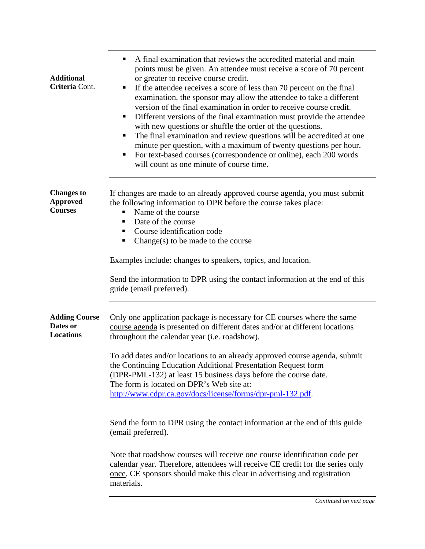| <b>Additional</b><br>Criteria Cont.                    | A final examination that reviews the accredited material and main<br>points must be given. An attendee must receive a score of 70 percent<br>or greater to receive course credit.<br>If the attendee receives a score of less than 70 percent on the final<br>Ξ<br>examination, the sponsor may allow the attendee to take a different<br>version of the final examination in order to receive course credit.<br>Different versions of the final examination must provide the attendee<br>with new questions or shuffle the order of the questions.<br>The final examination and review questions will be accredited at one<br>minute per question, with a maximum of twenty questions per hour.<br>For text-based courses (correspondence or online), each 200 words<br>п<br>will count as one minute of course time. |
|--------------------------------------------------------|------------------------------------------------------------------------------------------------------------------------------------------------------------------------------------------------------------------------------------------------------------------------------------------------------------------------------------------------------------------------------------------------------------------------------------------------------------------------------------------------------------------------------------------------------------------------------------------------------------------------------------------------------------------------------------------------------------------------------------------------------------------------------------------------------------------------|
| <b>Changes</b> to<br><b>Approved</b><br><b>Courses</b> | If changes are made to an already approved course agenda, you must submit<br>the following information to DPR before the course takes place:<br>Name of the course<br>Date of the course<br>п<br>Course identification code<br>п<br>Change(s) to be made to the course<br>ш                                                                                                                                                                                                                                                                                                                                                                                                                                                                                                                                            |
|                                                        | Examples include: changes to speakers, topics, and location.<br>Send the information to DPR using the contact information at the end of this<br>guide (email preferred).                                                                                                                                                                                                                                                                                                                                                                                                                                                                                                                                                                                                                                               |
| <b>Adding Course</b><br>Dates or<br><b>Locations</b>   | Only one application package is necessary for CE courses where the same<br>course agenda is presented on different dates and/or at different locations<br>throughout the calendar year (i.e. roadshow).<br>To add dates and/or locations to an already approved course agenda, submit<br>the Continuing Education Additional Presentation Request form<br>(DPR-PML-132) at least 15 business days before the course date.<br>The form is located on DPR's Web site at:<br>http://www.cdpr.ca.gov/docs/license/forms/dpr-pml-132.pdf.                                                                                                                                                                                                                                                                                   |
|                                                        | Send the form to DPR using the contact information at the end of this guide<br>(email preferred).                                                                                                                                                                                                                                                                                                                                                                                                                                                                                                                                                                                                                                                                                                                      |
|                                                        | Note that roadshow courses will receive one course identification code per<br>calendar year. Therefore, attendees will receive CE credit for the series only<br>once. CE sponsors should make this clear in advertising and registration<br>materials.                                                                                                                                                                                                                                                                                                                                                                                                                                                                                                                                                                 |